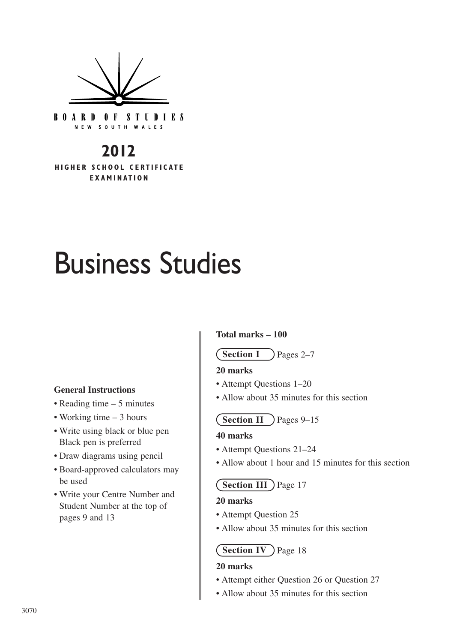

**BOARD OF STUDIES** NEW SOUTH WALES

# **2012**

**HIGHER SCHOOL CERTIFICATE EXAMINATION**

# Business Studies

#### **General Instructions**

- Reading time 5 minutes
- Working time 3 hours
- Write using black or blue pen Black pen is preferred
- Draw diagrams using pencil
- Board-approved calculators may be used
- Write your Centre Number and Student Number at the top of pages 9 and 13

#### **Total marks – 100**

#### Pages 2–7 **Section I**

#### **20 marks**

- Attempt Questions 1–20
- Allow about 35 minutes for this section

# **Section II** ) Pages 9–15

#### **40 marks**

- Attempt Questions 21–24
- Allow about 1 hour and 15 minutes for this section

#### **Section III** ) Page 17

#### **20 marks**

- Attempt Question 25
- Allow about 35 minutes for this section

## **Section IV** ) Page 18

#### **20 marks**

- Attempt either Question 26 or Question 27
- Allow about 35 minutes for this section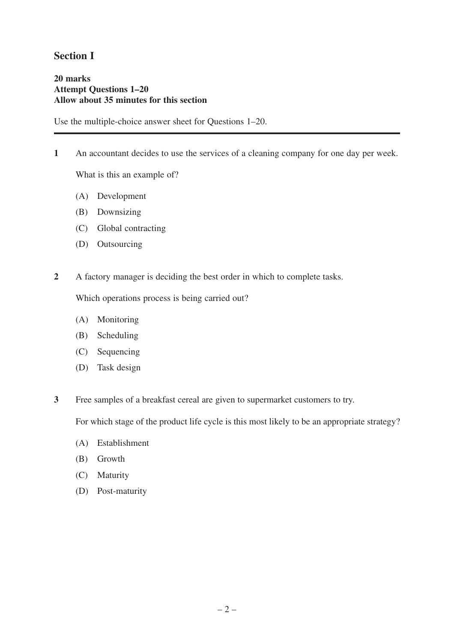# **Section I**

#### **20 marks Attempt Questions 1–20 Allow about 35 minutes for this section**

Use the multiple-choice answer sheet for Questions 1–20.

**1** An accountant decides to use the services of a cleaning company for one day per week.

What is this an example of?

- (A) Development
- (B) Downsizing
- (C) Global contracting
- (D) Outsourcing
- **2** A factory manager is deciding the best order in which to complete tasks.

Which operations process is being carried out?

- (A) Monitoring
- (B) Scheduling
- (C) Sequencing
- (D) Task design
- **3** Free samples of a breakfast cereal are given to supermarket customers to try.

For which stage of the product life cycle is this most likely to be an appropriate strategy?

- (A) Establishment
- (B) Growth
- (C) Maturity
- (D) Post-maturity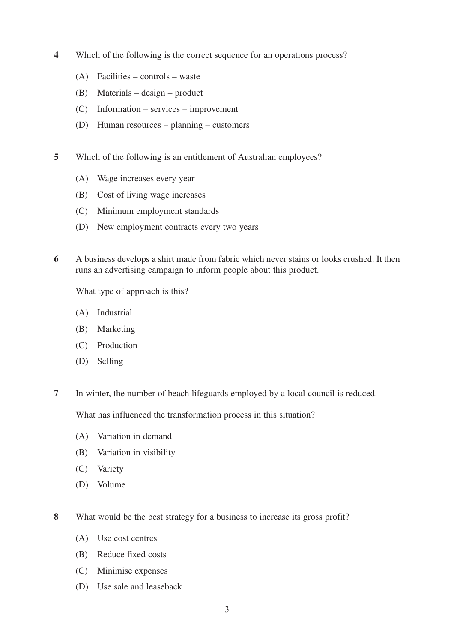- **4** Which of the following is the correct sequence for an operations process?
	- (A) Facilities controls waste
	- (B) Materials design product
	- (C) Information services improvement
	- (D) Human resources planning customers
- **5** Which of the following is an entitlement of Australian employees?
	- (A) Wage increases every year
	- (B) Cost of living wage increases
	- (C) Minimum employment standards
	- (D) New employment contracts every two years
- **6** A business develops a shirt made from fabric which never stains or looks crushed. It then runs an advertising campaign to inform people about this product.

What type of approach is this?

- (A) Industrial
- (B) Marketing
- (C) Production
- (D) Selling
- **7** In winter, the number of beach lifeguards employed by a local council is reduced.

What has influenced the transformation process in this situation?

- (A) Variation in demand
- (B) Variation in visibility
- (C) Variety
- (D) Volume
- **8** What would be the best strategy for a business to increase its gross profit?
	- (A) Use cost centres
	- (B) Reduce fixed costs
	- (C) Minimise expenses
	- (D) Use sale and leaseback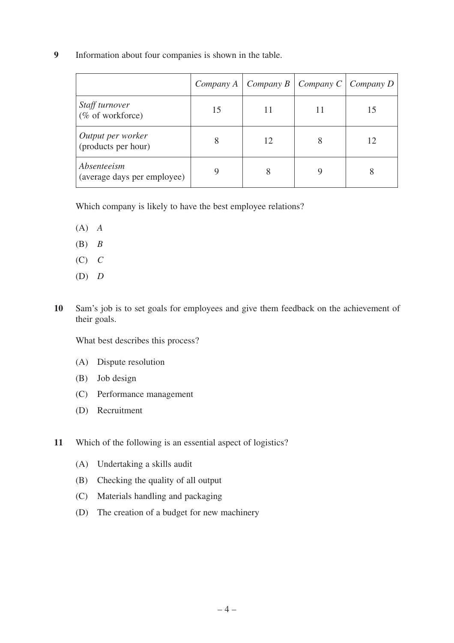**9** Information about four companies is shown in the table.

|                                            |    | Company A   Company B   Company C   Company D |  |
|--------------------------------------------|----|-----------------------------------------------|--|
| Staff turnover<br>(% of workforce)         | 15 |                                               |  |
| Output per worker<br>(products per hour)   | 8  | 12                                            |  |
| Absenteeism<br>(average days per employee) |    | 8                                             |  |

Which company is likely to have the best employee relations?

- (A) *A*
- (B) *B*
- (C) *C*
- (D) *D*
- **10** Sam's job is to set goals for employees and give them feedback on the achievement of their goals.

What best describes this process?

- (A) Dispute resolution
- (B) Job design
- (C) Performance management
- (D) Recruitment

**11** Which of the following is an essential aspect of logistics?

- (A) Undertaking a skills audit
- (B) Checking the quality of all output
- (C) Materials handling and packaging
- (D) The creation of a budget for new machinery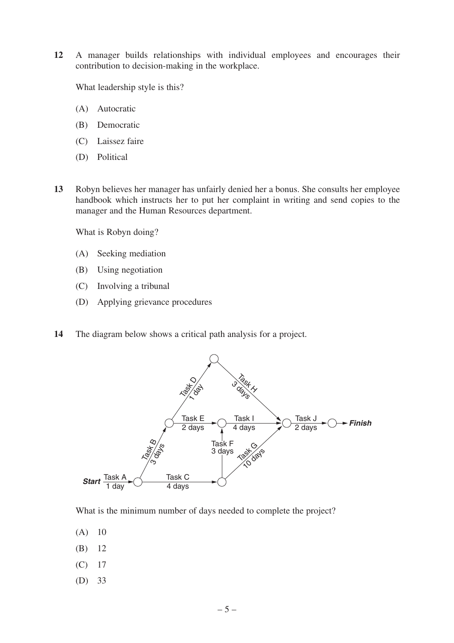**12** A manager builds relationships with individual employees and encourages their contribution to decision-making in the workplace.

What leadership style is this?

- (A) Autocratic
- (B) Democratic
- (C) Laissez faire
- (D) Political
- **13** Robyn believes her manager has unfairly denied her a bonus. She consults her employee handbook which instructs her to put her complaint in writing and send copies to the manager and the Human Resources department.

What is Robyn doing?

- (A) Seeking mediation
- (B) Using negotiation
- (C) Involving a tribunal
- (D) Applying grievance procedures
- **14** The diagram below shows a critical path analysis for a project.



What is the minimum number of days needed to complete the project?

- (A) 10
- (B) 12
- (C) 17
- (D) 33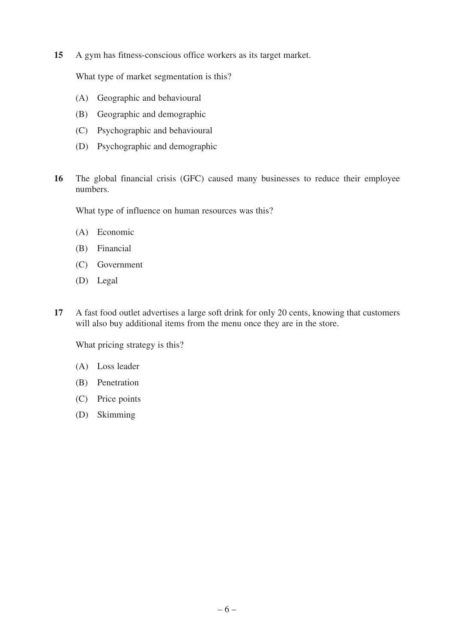**15** A gym has fitness-conscious office workers as its target market.

What type of market segmentation is this?

- (A) Geographic and behavioural
- (B) Geographic and demographic
- (C) Psychographic and behavioural
- (D) Psychographic and demographic
- **16** The global financial crisis (GFC) caused many businesses to reduce their employee numbers.

What type of influence on human resources was this?

- (A) Economic
- (B) Financial
- (C) Government
- (D) Legal
- **17** A fast food outlet advertises a large soft drink for only 20 cents, knowing that customers will also buy additional items from the menu once they are in the store.

What pricing strategy is this?

- (A) Loss leader
- (B) Penetration
- (C) Price points
- (D) Skimming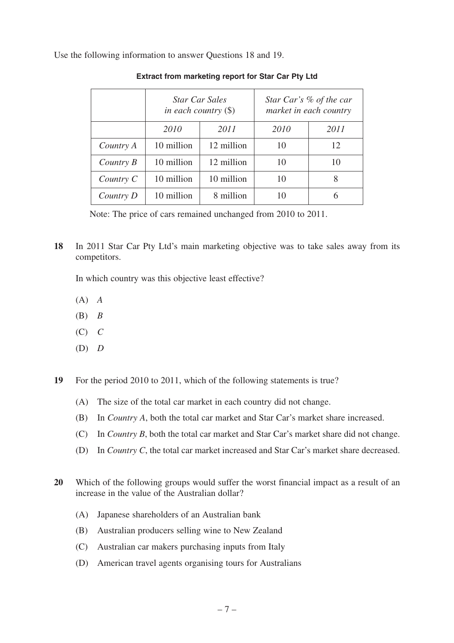Use the following information to answer Questions 18 and 19.

|           |            | <b>Star Car Sales</b><br>in each country $(\$)$ |      | Star Car's % of the car<br>market in each country |
|-----------|------------|-------------------------------------------------|------|---------------------------------------------------|
|           | 2010       | 2011                                            | 2010 | 2011                                              |
| Country A | 10 million | 12 million                                      | 10   | 12                                                |
| Country B | 10 million | 12 million                                      | 10   | 10                                                |
| Country C | 10 million | 10 million                                      | 10   | 8                                                 |
| Country D | 10 million | 8 million                                       | 10   | 6                                                 |

#### **Extract from marketing report for Star Car Pty Ltd**

Note: The price of cars remained unchanged from 2010 to 2011.

**18** In 2011 Star Car Pty Ltd's main marketing objective was to take sales away from its competitors.

In which country was this objective least effective?

- (A) *A*
- (B) *B*
- (C) *C*
- (D) *D*

**19** For the period 2010 to 2011, which of the following statements is true?

- (A) The size of the total car market in each country did not change.
- (B) In *Country A*, both the total car market and Star Car's market share increased.
- (C) In *Country B*, both the total car market and Star Car's market share did not change.
- (D) In *Country C*, the total car market increased and Star Car's market share decreased.
- **20** Which of the following groups would suffer the worst financial impact as a result of an increase in the value of the Australian dollar?
	- (A) Japanese shareholders of an Australian bank
	- (B) Australian producers selling wine to New Zealand
	- (C) Australian car makers purchasing inputs from Italy
	- (D) American travel agents organising tours for Australians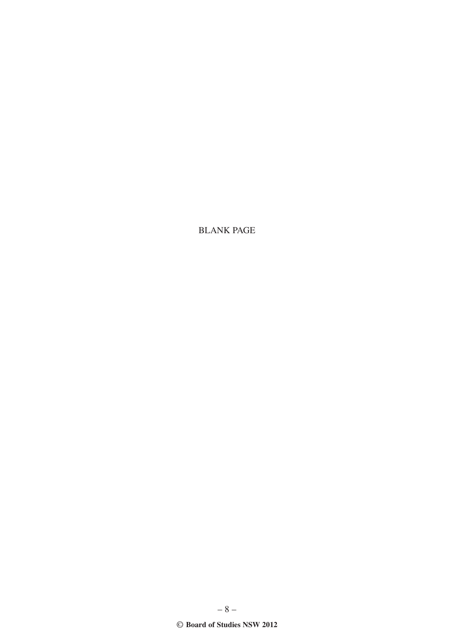**BLANK PAGE** 

 $-8-$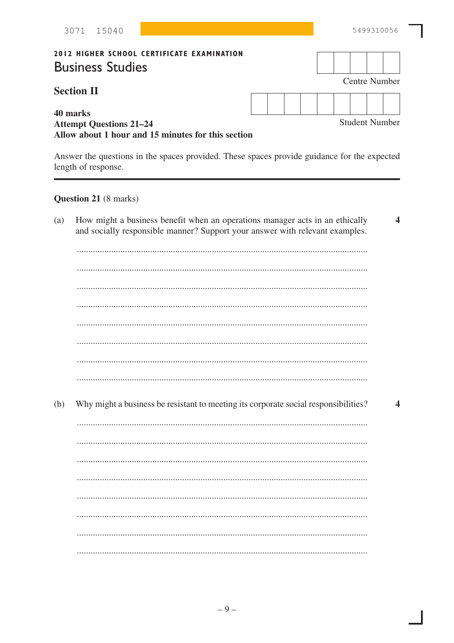|     | 3071 15040                                                                                       |                                                                                                                                                              |  |  |  |  |  |  |  |  | 5499310056                                                                                  |
|-----|--------------------------------------------------------------------------------------------------|--------------------------------------------------------------------------------------------------------------------------------------------------------------|--|--|--|--|--|--|--|--|---------------------------------------------------------------------------------------------|
|     | <b>2012 HIGHER SCHOOL CERTIFICATE EXAMINATION</b><br><b>Business Studies</b>                     |                                                                                                                                                              |  |  |  |  |  |  |  |  |                                                                                             |
|     | <b>Section II</b>                                                                                |                                                                                                                                                              |  |  |  |  |  |  |  |  | <b>Centre Number</b>                                                                        |
|     | 40 marks<br><b>Attempt Questions 21-24</b><br>Allow about 1 hour and 15 minutes for this section |                                                                                                                                                              |  |  |  |  |  |  |  |  | <b>Student Number</b>                                                                       |
|     | length of response.                                                                              |                                                                                                                                                              |  |  |  |  |  |  |  |  | Answer the questions in the spaces provided. These spaces provide guidance for the expected |
|     | <b>Question 21</b> (8 marks)                                                                     |                                                                                                                                                              |  |  |  |  |  |  |  |  |                                                                                             |
| (a) |                                                                                                  | How might a business benefit when an operations manager acts in an ethically<br>and socially responsible manner? Support your answer with relevant examples. |  |  |  |  |  |  |  |  | $\overline{\mathbf{4}}$                                                                     |
| (b) |                                                                                                  | Why might a business be resistant to meeting its corporate social responsibilities?                                                                          |  |  |  |  |  |  |  |  | 4                                                                                           |

Π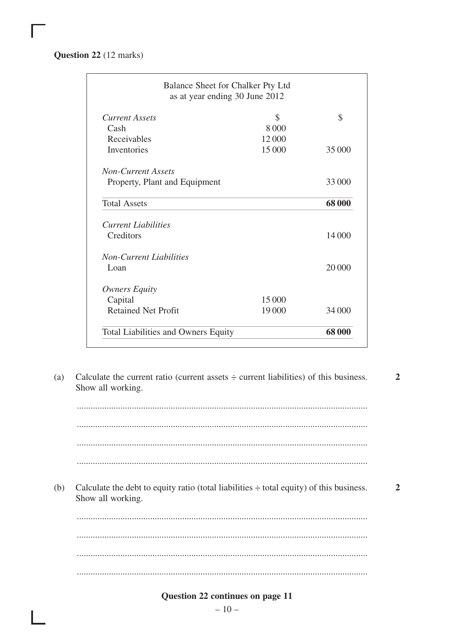**Question 22** (12 marks)

| Balance Sheet for Chalker Pty Ltd<br>as at year ending 30 June 2012 |         |        |
|---------------------------------------------------------------------|---------|--------|
| Current Assets                                                      | \$      | \$     |
| Cash                                                                | 8 0 0 0 |        |
| Receivables                                                         | 12 000  |        |
| Inventories                                                         | 15 000  | 35 000 |
| <b>Non-Current Assets</b>                                           |         |        |
| Property, Plant and Equipment                                       |         | 33 000 |
| <b>Total Assets</b>                                                 |         | 68 000 |
| <b>Current Liabilities</b>                                          |         |        |
| Creditors                                                           |         | 14 000 |
| Non-Current Liabilities                                             |         |        |
| Loan                                                                |         | 20 000 |
| <b>Owners Equity</b>                                                |         |        |
| Capital                                                             | 15 000  |        |
| <b>Retained Net Profit</b>                                          | 19 000  | 34 000 |
| <b>Total Liabilities and Owners Equity</b>                          |         | 68 000 |

(a) Calculate the current ratio (current assets ÷ current liabilities) of this business. Show all working. **2**

............................................................................................................................... ............................................................................................................................... ............................................................................................................................... ............................................................................................................................... (b) Calculate the debt to equity ratio (total liabilities  $\div$  total equity) of this business. Show all working. ............................................................................................................................... ............................................................................................................................... ............................................................................................................................... ............................................................................................................................... **2**

#### **Question 22 continues on page 11**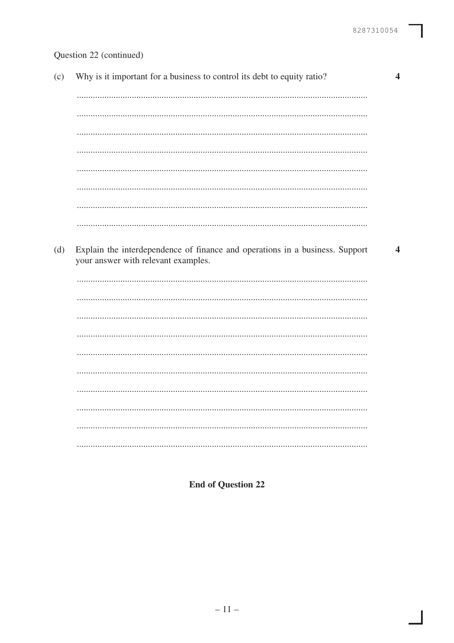I

# Question 22 (continued)

| (c) | Why is it important for a business to control its debt to equity ratio?                                             | $\overline{\mathcal{A}}$ |
|-----|---------------------------------------------------------------------------------------------------------------------|--------------------------|
|     |                                                                                                                     |                          |
|     |                                                                                                                     |                          |
|     |                                                                                                                     |                          |
|     |                                                                                                                     |                          |
|     |                                                                                                                     |                          |
|     |                                                                                                                     |                          |
|     |                                                                                                                     |                          |
|     |                                                                                                                     |                          |
| (d) | Explain the interdependence of finance and operations in a business. Support<br>your answer with relevant examples. | 4                        |
|     |                                                                                                                     |                          |
|     |                                                                                                                     |                          |
|     |                                                                                                                     |                          |
|     |                                                                                                                     |                          |
|     |                                                                                                                     |                          |
|     |                                                                                                                     |                          |
|     |                                                                                                                     |                          |
|     |                                                                                                                     |                          |
|     |                                                                                                                     |                          |
|     |                                                                                                                     |                          |

**End of Question 22**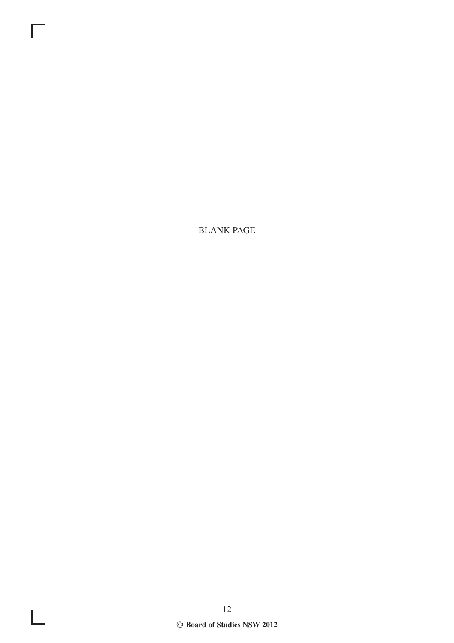BLANK PAGE

Г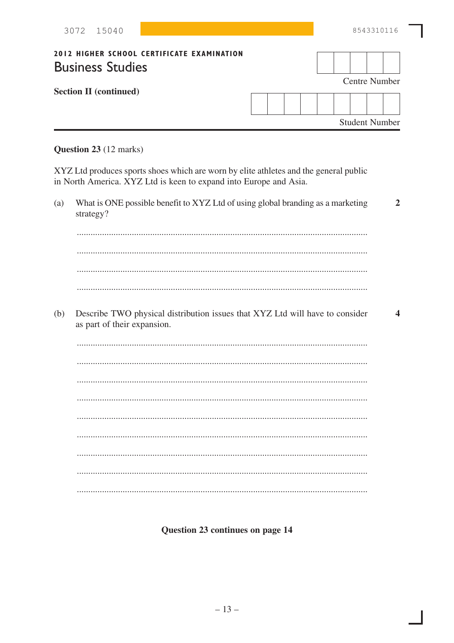| 3072 15040                                                                   |  |  |  | 8543310116 |                       |
|------------------------------------------------------------------------------|--|--|--|------------|-----------------------|
| <b>2012 HIGHER SCHOOL CERTIFICATE EXAMINATION</b><br><b>Business Studies</b> |  |  |  |            | <b>Centre Number</b>  |
| <b>Section II (continued)</b>                                                |  |  |  |            | <b>Student Number</b> |

# Question 23 (12 marks)

XYZ Ltd produces sports shoes which are worn by elite athletes and the general public in North America. XYZ Ltd is keen to expand into Europe and Asia.

| (a) | What is ONE possible benefit to XYZ Ltd of using global branding as a marketing<br>strategy?                | $\overline{2}$   |
|-----|-------------------------------------------------------------------------------------------------------------|------------------|
|     |                                                                                                             |                  |
|     |                                                                                                             |                  |
|     |                                                                                                             |                  |
|     |                                                                                                             |                  |
| (b) | Describe TWO physical distribution issues that XYZ Ltd will have to consider<br>as part of their expansion. | $\boldsymbol{4}$ |
|     |                                                                                                             |                  |
|     |                                                                                                             |                  |
|     |                                                                                                             |                  |
|     |                                                                                                             |                  |
|     |                                                                                                             |                  |
|     |                                                                                                             |                  |
|     |                                                                                                             |                  |
|     |                                                                                                             |                  |
|     |                                                                                                             |                  |

Question 23 continues on page 14

I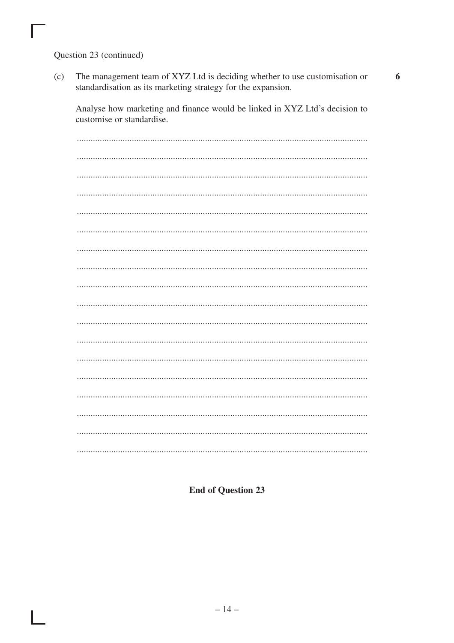Question 23 (continued)

The management team of XYZ Ltd is deciding whether to use customisation or  $(c)$ standardisation as its marketing strategy for the expansion.

Analyse how marketing and finance would be linked in XYZ Ltd's decision to customise or standardise.

**End of Question 23**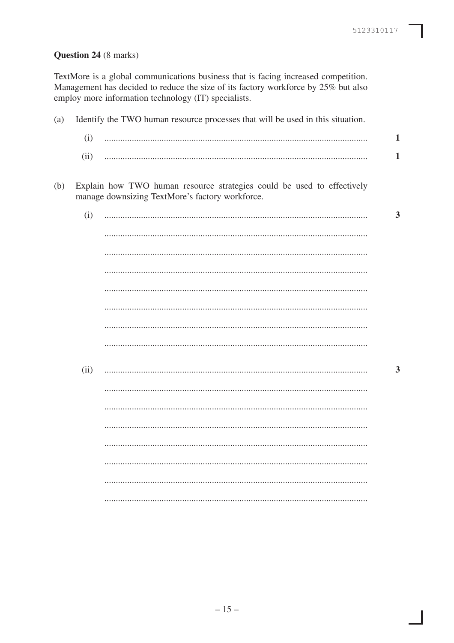$\overline{\phantom{a}}$ 

# Question 24 (8 marks)

TextMore is a global communications business that is facing increased competition. Management has decided to reduce the size of its factory workforce by 25% but also employ more information technology (IT) specialists.

| (a) |      | Identify the TWO human resource processes that will be used in this situation.                                            |
|-----|------|---------------------------------------------------------------------------------------------------------------------------|
|     | (i)  |                                                                                                                           |
|     | (ii) |                                                                                                                           |
| (b) |      | Explain how TWO human resource strategies could be used to effectively<br>manage downsizing TextMore's factory workforce. |
|     | (i)  |                                                                                                                           |
|     |      |                                                                                                                           |
|     |      |                                                                                                                           |
|     |      |                                                                                                                           |
|     |      |                                                                                                                           |
|     |      |                                                                                                                           |
|     |      |                                                                                                                           |
|     |      |                                                                                                                           |
|     | (ii) |                                                                                                                           |
|     |      |                                                                                                                           |
|     |      |                                                                                                                           |
|     |      |                                                                                                                           |
|     |      |                                                                                                                           |
|     |      |                                                                                                                           |
|     |      |                                                                                                                           |
|     |      |                                                                                                                           |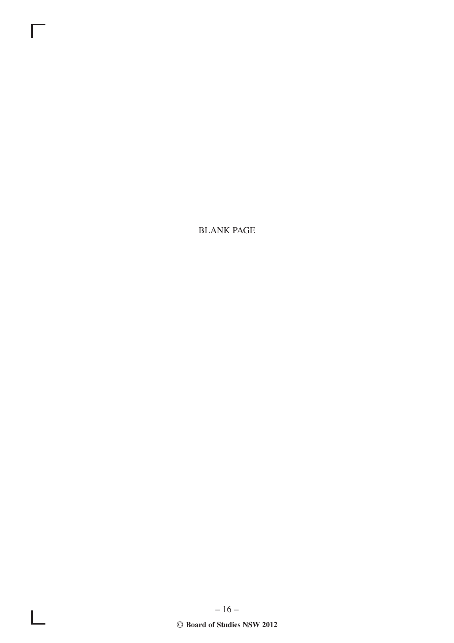**BLANK PAGE** 

Г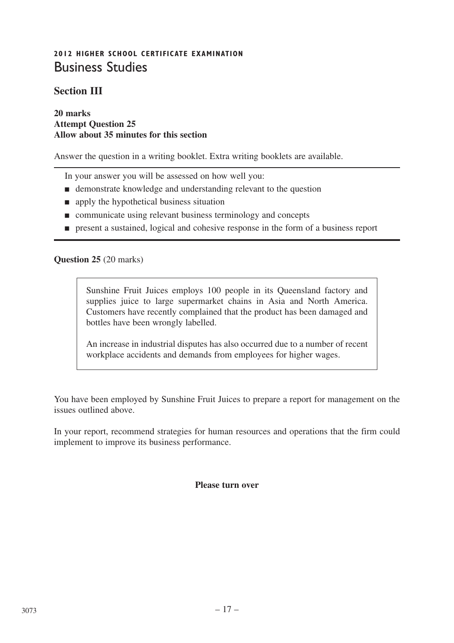# **2012 HIGHER SCHOOL CERTIFICATE EXAMINATION** Business Studies

# **Section III**

#### **20 marks Attempt Question 25 Allow about 35 minutes for this section**

Answer the question in a writing booklet. Extra writing booklets are available.

In your answer you will be assessed on how well you:

- demonstrate knowledge and understanding relevant to the question
- apply the hypothetical business situation
- communicate using relevant business terminology and concepts
- present a sustained, logical and cohesive response in the form of a business report

#### **Question 25** (20 marks)

Sunshine Fruit Juices employs 100 people in its Queensland factory and supplies juice to large supermarket chains in Asia and North America. Customers have recently complained that the product has been damaged and bottles have been wrongly labelled.

An increase in industrial disputes has also occurred due to a number of recent workplace accidents and demands from employees for higher wages.

You have been employed by Sunshine Fruit Juices to prepare a report for management on the issues outlined above.

In your report, recommend strategies for human resources and operations that the firm could implement to improve its business performance.

#### **Please turn over**